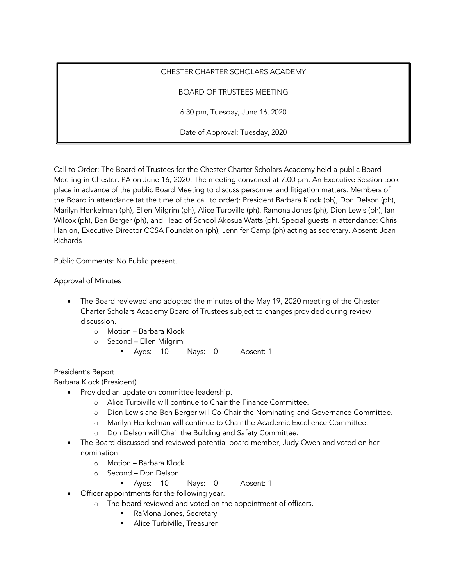# CHESTER CHARTER SCHOLARS ACADEMY

## BOARD OF TRUSTEES MEETING

6:30 pm, Tuesday, June 16, 2020

Date of Approval: Tuesday, 2020

Call to Order: The Board of Trustees for the Chester Charter Scholars Academy held a public Board Meeting in Chester, PA on June 16, 2020. The meeting convened at 7:00 pm. An Executive Session took place in advance of the public Board Meeting to discuss personnel and litigation matters. Members of the Board in attendance (at the time of the call to order): President Barbara Klock (ph), Don Delson (ph), Marilyn Henkelman (ph), Ellen Milgrim (ph), Alice Turbville (ph), Ramona Jones (ph), Dion Lewis (ph), Ian Wilcox (ph), Ben Berger (ph), and Head of School Akosua Watts (ph). Special guests in attendance: Chris Hanlon, Executive Director CCSA Foundation (ph), Jennifer Camp (ph) acting as secretary. Absent: Joan Richards

Public Comments: No Public present.

#### Approval of Minutes

- The Board reviewed and adopted the minutes of the May 19, 2020 meeting of the Chester Charter Scholars Academy Board of Trustees subject to changes provided during review discussion.
	- o Motion Barbara Klock
	- o Second Ellen Milgrim
		- § Ayes: 10 Nays: 0 Absent: 1

### President's Report

Barbara Klock (President)

- Provided an update on committee leadership.
	- o Alice Turbiville will continue to Chair the Finance Committee.
	- o Dion Lewis and Ben Berger will Co-Chair the Nominating and Governance Committee.
	- o Marilyn Henkelman will continue to Chair the Academic Excellence Committee.
	- o Don Delson will Chair the Building and Safety Committee.
- The Board discussed and reviewed potential board member, Judy Owen and voted on her nomination
	- o Motion Barbara Klock
	- o Second Don Delson
		- § Ayes: 10 Nays: 0 Absent: 1
- Officer appointments for the following year.
	- o The board reviewed and voted on the appointment of officers.
		- RaMona Jones, Secretary
		- § Alice Turbiville, Treasurer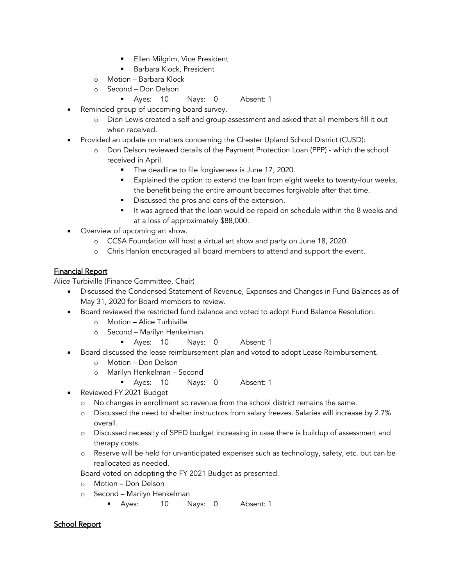- **Ellen Milgrim, Vice President**
- § Barbara Klock, President
- o Motion Barbara Klock
- o Second Don Delson
	- § Ayes: 10 Nays: 0 Absent: 1
- Reminded group of upcoming board survey.
	- o Dion Lewis created a self and group assessment and asked that all members fill it out when received.
- Provided an update on matters concerning the Chester Upland School District (CUSD):
	- o Don Delson reviewed details of the Payment Protection Loan (PPP) which the school received in April.
		- The deadline to file forgiveness is June 17, 2020.
		- Explained the option to extend the loan from eight weeks to twenty-four weeks, the benefit being the entire amount becomes forgivable after that time.
		- Discussed the pros and cons of the extension.
		- **•** It was agreed that the loan would be repaid on schedule within the 8 weeks and at a loss of approximately \$88,000.
- Overview of upcoming art show.
	- o CCSA Foundation will host a virtual art show and party on June 18, 2020.
	- o Chris Hanlon encouraged all board members to attend and support the event.

### Financial Report

Alice Turbiville (Finance Committee, Chair)

- Discussed the Condensed Statement of Revenue, Expenses and Changes in Fund Balances as of May 31, 2020 for Board members to review.
- Board reviewed the restricted fund balance and voted to adopt Fund Balance Resolution.
	- o Motion Alice Turbiville
	- o Second Marilyn Henkelman
		- § Ayes: 10 Nays: 0 Absent: 1
	- Board discussed the lease reimbursement plan and voted to adopt Lease Reimbursement.
		- o Motion Don Delson
		- o Marilyn Henkelman Second
			- § Ayes: 10 Nays: 0 Absent: 1
- Reviewed FY 2021 Budget
	- o No changes in enrollment so revenue from the school district remains the same.
	- o Discussed the need to shelter instructors from salary freezes. Salaries will increase by 2.7% overall.
	- o Discussed necessity of SPED budget increasing in case there is buildup of assessment and therapy costs.
	- o Reserve will be held for un-anticipated expenses such as technology, safety, etc. but can be reallocated as needed.

Board voted on adopting the FY 2021 Budget as presented.

- o Motion Don Delson
- o Second Marilyn Henkelman
	- § Ayes: 10 Nays: 0 Absent: 1

### School Report